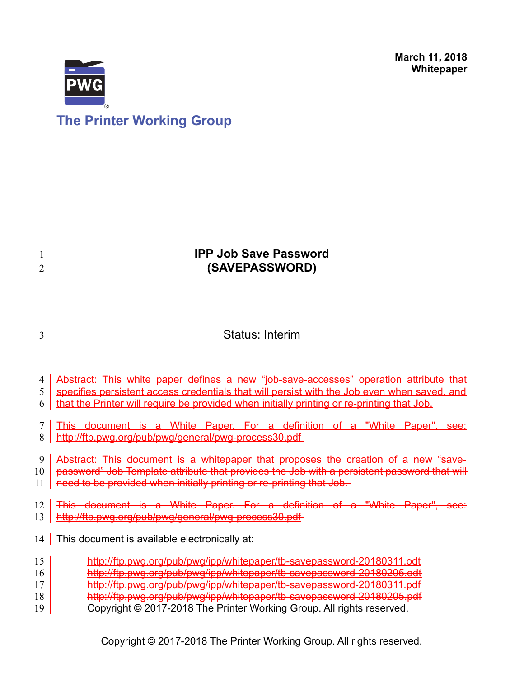**March 11, 2018 Whitepaper**



# **The Printer Working Group**

## **IPP Job Save Password (SAVEPASSWORD)** Status: Interim Abstract: This white paper defines a new "job-save-accesses" operation attribute that specifies persistent access credentials that will persist with the Job even when saved, and that the Printer will require be provided when initially printing or re-printing that Job. This document is a White Paper. For a definition of a "White Paper", see: <http://ftp.pwg.org/pub/pwg/general/pwg-process30.pdf> Abstract: This document is a whitepaper that proposes the creation of a new "savepassword" Job Template attribute that provides the Job with a persistent password that will need to be provided when initially printing or re-printing that Job. This document is a White Paper. For a definition of a "White Paper", see: <http://ftp.pwg.org/pub/pwg/general/pwg-process30.pdf> 14 This document is available electronically at: <http://ftp.pwg.org/pub/pwg/ipp/whitepaper/tb-savepassword-20180311.odt> <http://ftp.pwg.org/pub/pwg/ipp/whitepaper/tb-savepassword-20180205.odt> <http://ftp.pwg.org/pub/pwg/ipp/whitepaper/tb-savepassword-20180311.pdf> <http://ftp.pwg.org/pub/pwg/ipp/whitepaper/tb-savepassword-20180205.pdf> Copyright © 2017-2018 The Printer Working Group. All rights reserved. 1 2 3 4 5 6 7 8 9 10 11 12 13 15 16 17 18 19

Copyright © 2017-2018 The Printer Working Group. All rights reserved.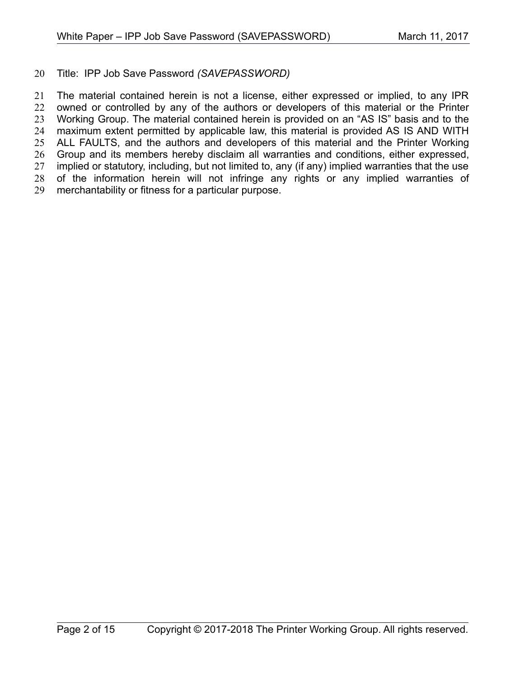#### Title: IPP Job Save Password *(SAVEPASSWORD)* 20

The material contained herein is not a license, either expressed or implied, to any IPR owned or controlled by any of the authors or developers of this material or the Printer Working Group. The material contained herein is provided on an "AS IS" basis and to the maximum extent permitted by applicable law, this material is provided AS IS AND WITH ALL FAULTS, and the authors and developers of this material and the Printer Working Group and its members hereby disclaim all warranties and conditions, either expressed, implied or statutory, including, but not limited to, any (if any) implied warranties that the use of the information herein will not infringe any rights or any implied warranties of merchantability or fitness for a particular purpose. 21 22 23 24 25 26 27 28 29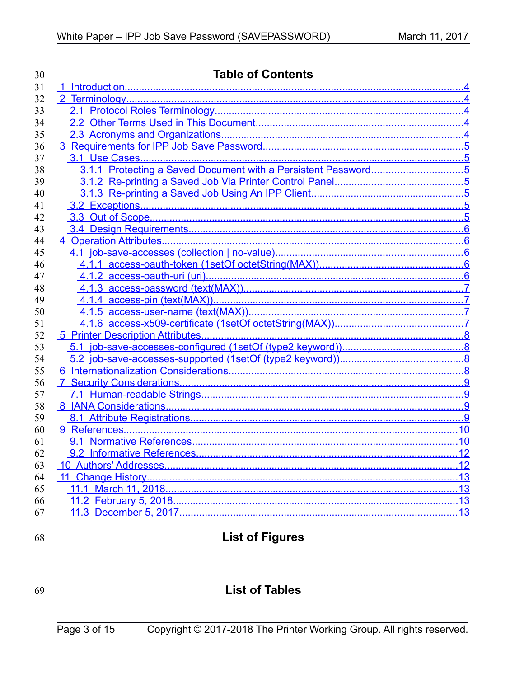| 30 | <b>Table of Contents</b> |    |  |  |
|----|--------------------------|----|--|--|
| 31 |                          |    |  |  |
| 32 |                          |    |  |  |
| 33 |                          |    |  |  |
| 34 |                          |    |  |  |
| 35 |                          |    |  |  |
| 36 |                          |    |  |  |
| 37 |                          |    |  |  |
| 38 |                          |    |  |  |
| 39 |                          |    |  |  |
| 40 |                          |    |  |  |
| 41 |                          |    |  |  |
| 42 |                          |    |  |  |
| 43 |                          |    |  |  |
| 44 |                          |    |  |  |
| 45 |                          |    |  |  |
| 46 |                          |    |  |  |
| 47 |                          |    |  |  |
| 48 |                          |    |  |  |
| 49 |                          |    |  |  |
| 50 |                          |    |  |  |
| 51 |                          |    |  |  |
| 52 |                          |    |  |  |
| 53 |                          |    |  |  |
| 54 |                          |    |  |  |
| 55 |                          |    |  |  |
| 56 |                          |    |  |  |
| 57 |                          |    |  |  |
| 58 |                          |    |  |  |
| 59 |                          |    |  |  |
| 60 |                          |    |  |  |
| 61 |                          |    |  |  |
| 62 |                          | 12 |  |  |
| 63 |                          |    |  |  |
| 64 |                          |    |  |  |
| 65 |                          |    |  |  |
| 66 |                          |    |  |  |
| 67 |                          |    |  |  |
|    |                          |    |  |  |

68

# **List of Figures**

## 69

## **List of Tables**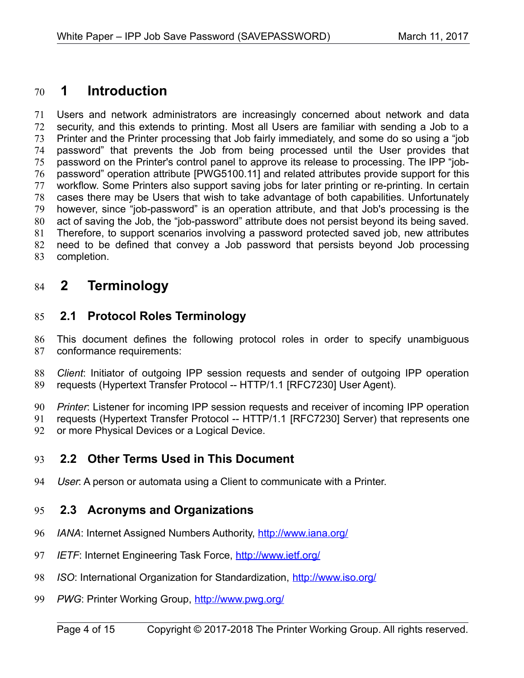## <span id="page-3-4"></span> **1 Introduction** 70

Users and network administrators are increasingly concerned about network and data security, and this extends to printing. Most all Users are familiar with sending a Job to a Printer and the Printer processing that Job fairly immediately, and some do so using a "job password" that prevents the Job from being processed until the User provides that password on the Printer's control panel to approve its release to processing. The IPP "jobpassword" operation attribute [\[PWG5100.11\]](#page-11-0) and related attributes provide support for this workflow. Some Printers also support saving jobs for later printing or re-printing. In certain cases there may be Users that wish to take advantage of both capabilities. Unfortunately however, since "job-password" is an operation attribute, and that Job's processing is the act of saving the Job, the "job-password" attribute does not persist beyond its being saved. Therefore, to support scenarios involving a password protected saved job, new attributes need to be defined that convey a Job password that persists beyond Job processing completion. 71 72 73 74 75 76 77 78 79 80 81 82 83

## <span id="page-3-3"></span> **2 Terminology** 84

### <span id="page-3-2"></span> **2.1 Protocol Roles Terminology** 85

This document defines the following protocol roles in order to specify unambiguous conformance requirements: 86 87

*Client*: Initiator of outgoing IPP session requests and sender of outgoing IPP operation requests (Hypertext Transfer Protocol -- HTTP/1.1 [\[RFC7230\]](#page-11-1) User Agent). 88 89

*Printer*: Listener for incoming IPP session requests and receiver of incoming IPP operation 90

requests (Hypertext Transfer Protocol -- HTTP/1.1 [\[RFC7230\]](#page-11-1) Server) that represents one or more Physical Devices or a Logical Device. 91 92

### <span id="page-3-1"></span> **2.2 Other Terms Used in This Document** 93

User: A person or automata using a Client to communicate with a Printer. 94

### <span id="page-3-0"></span> **2.3 Acronyms and Organizations** 95

- *IANA*: Internet Assigned Numbers Authority,<http://www.iana.org/> 96
- *IETF*: Internet Engineering Task Force,<http://www.ietf.org/> 97
- *ISO*: International Organization for Standardization,<http://www.iso.org/> 98
- PWG: Printer Working Group,<http://www.pwg.org/> 99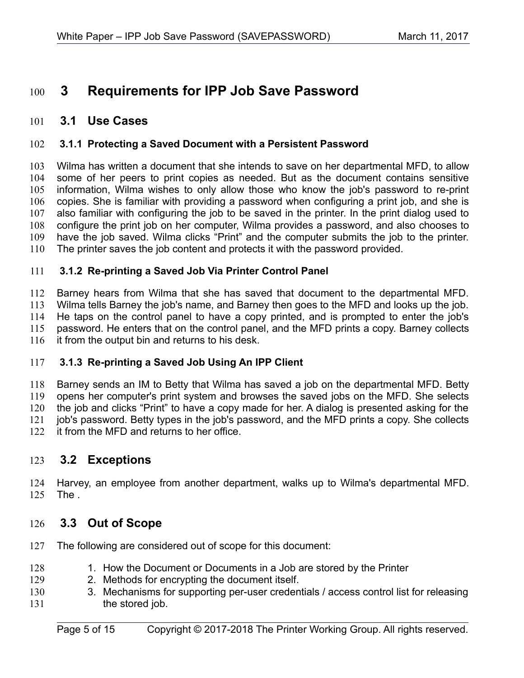## <span id="page-4-6"></span> **3 Requirements for IPP Job Save Password** 100

### <span id="page-4-5"></span> **3.1 Use Cases** 101

#### <span id="page-4-4"></span> **3.1.1 Protecting a Saved Document with a Persistent Password** 102

Wilma has written a document that she intends to save on her departmental MFD, to allow some of her peers to print copies as needed. But as the document contains sensitive information, Wilma wishes to only allow those who know the job's password to re-print copies. She is familiar with providing a password when configuring a print job, and she is also familiar with configuring the job to be saved in the printer. In the print dialog used to configure the print job on her computer, Wilma provides a password, and also chooses to have the job saved. Wilma clicks "Print" and the computer submits the job to the printer. The printer saves the job content and protects it with the password provided. 103 104 105 106 107 108 109 110

#### <span id="page-4-3"></span> **3.1.2 Re-printing a Saved Job Via Printer Control Panel** 111

Barney hears from Wilma that she has saved that document to the departmental MFD. Wilma tells Barney the job's name, and Barney then goes to the MFD and looks up the job. He taps on the control panel to have a copy printed, and is prompted to enter the job's password. He enters that on the control panel, and the MFD prints a copy. Barney collects it from the output bin and returns to his desk. 112 113 114 115 116

#### <span id="page-4-2"></span> **3.1.3 Re-printing a Saved Job Using An IPP Client** 117

Barney sends an IM to Betty that Wilma has saved a job on the departmental MFD. Betty opens her computer's print system and browses the saved jobs on the MFD. She selects the job and clicks "Print" to have a copy made for her. A dialog is presented asking for the job's password. Betty types in the job's password, and the MFD prints a copy. She collects it from the MFD and returns to her office. 118 119 120 121 122

### <span id="page-4-1"></span> **3.2 Exceptions** 123

Harvey, an employee from another department, walks up to Wilma's departmental MFD. The . 124 125

### <span id="page-4-0"></span> **3.3 Out of Scope** 126

- The following are considered out of scope for this document: 127
- 1. How the Document or Documents in a Job are stored by the Printer 128
- 2. Methods for encrypting the document itself. 129
- 3. Mechanisms for supporting per-user credentials / access control list for releasing the stored job. 130 131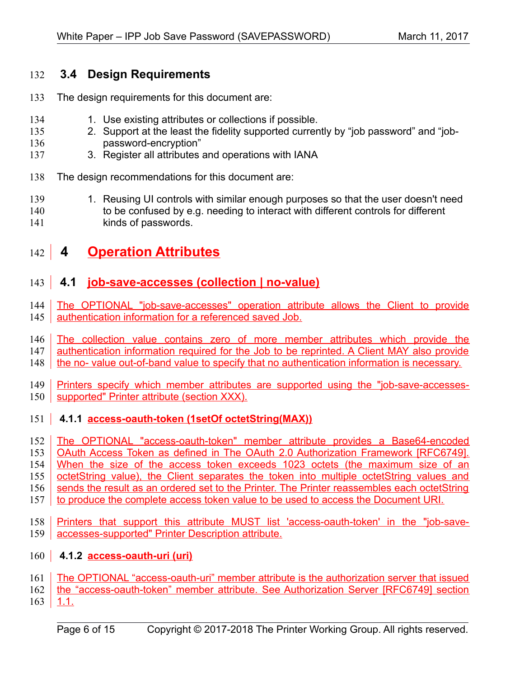## <span id="page-5-4"></span> **3.4 Design Requirements** 132

- The design requirements for this document are: 133
- 1. Use existing attributes or collections if possible. 134
- 2. Support at the least the fidelity supported currently by "job password" and "jobpassword-encryption" 135 136
- 3. Register all attributes and operations with IANA 137
- The design recommendations for this document are: 138
- 1. Reusing UI controls with similar enough purposes so that the user doesn't need to be confused by e.g. needing to interact with different controls for different kinds of passwords. 139 140 141
- <span id="page-5-3"></span> **4 Operation Attributes** 142

## <span id="page-5-2"></span> **4.1 job-save-accesses (collection | no-value)**  $143$

- The OPTIONAL "job-save-accesses" operation attribute allows the Client to provide authentication information for a referenced saved Job. 144 145
- The collection value contains zero of more member attributes which provide the 146
- authentication information required for the Job to be reprinted. A Client MAY also provide 147
- the no- value out-of-band value to specify that no authentication information is necessary. 148
- Printers specify which member attributes are supported using the "job-save-accessessupported" Printer attribute (section XXX). 149 150

## <span id="page-5-1"></span>151 | 4.1.1 **access-oauth-token (1setOf octetString(MAX))**

- The OPTIONAL "access-oauth-token" member attribute provides a Base64-encoded OAuth Access Token as defined in The OAuth 2.0 Authorization Framework [RFC6749]. When the size of the access token exceeds 1023 octets (the maximum size of an octetString value), the Client separates the token into multiple octetString values and sends the result as an ordered set to the Printer. The Printer reassembles each octetString to produce the complete access token value to be used to access the Document URI. 152 153 154 155 156 157
- Printers that support this attribute MUST list 'access-oauth-token' in the "job-saveaccesses-supported" Printer Description attribute. 158 159

## <span id="page-5-0"></span>160 **4.1.2 access-oauth-uri (uri)**

- The OPTIONAL "access-oauth-uri" member attribute is the authorization server that issued 161
- the "access-oauth-token" member attribute. See Authorization Server [RFC6749] section 162
- $1.1.$ 163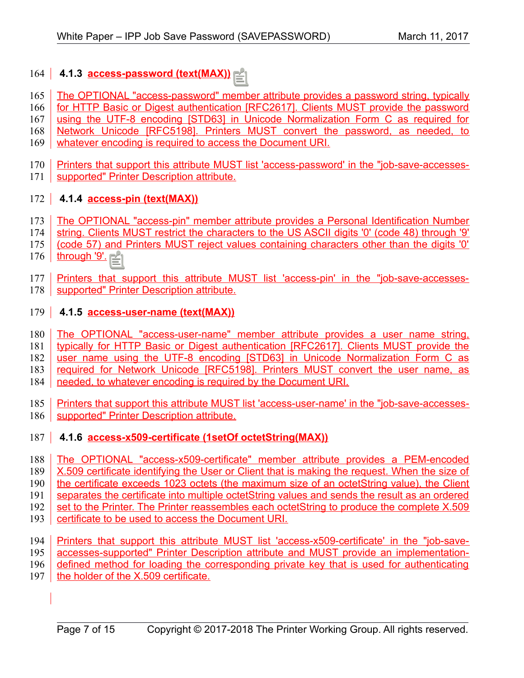## <span id="page-6-3"></span>164 **4.1.3 access-password (text(MAX))**

- The OPTIONAL "access-password" member attribute provides a password string, typically 165
- for HTTP Basic or Digest authentication [RFC2617]. Clients MUST provide the password 166
- using the UTF-8 encoding [STD63] in Unicode Normalization Form C as required for 167
- Network Unicode [RFC5198]. Printers MUST convert the password, as needed, to 168
- whatever encoding is required to access the Document URI. 169
- Printers that support this attribute MUST list 'access-password' in the "job-save-accesses-170
- 171 | supported" Printer Description attribute.

## <span id="page-6-2"></span>172 **4.1.4 access-pin (text(MAX))**

- The OPTIONAL "access-pin" member attribute provides a Personal Identification Number 173
- string. Clients MUST restrict the characters to the US ASCII digits '0' (code 48) through '9' 174
- (code 57) and Printers MUST reject values containing characters other than the digits '0' 175
- through '9'. 176
- Printers that support this attribute MUST list 'access-pin' in the "job-save-accesses-177
- supported" Printer Description attribute. 178

## <span id="page-6-1"></span>179 **4.1.5** access-user-name (text(MAX))

- The OPTIONAL "access-user-name" member attribute provides a user name string, 180
- typically for HTTP Basic or Digest authentication [RFC2617]. Clients MUST provide the 181
- user name using the UTF-8 encoding [STD63] in Unicode Normalization Form C as 182
- required for Network Unicode [RFC5198]. Printers MUST convert the user name, as 183
- needed, to whatever encoding is required by the Document URI. 184
- Printers that support this attribute MUST list 'access-user-name' in the "job-save-accessessupported" Printer Description attribute. 185 186

## <span id="page-6-0"></span>187 | 4.1.6 **access-x509-certificate (1setOf octetString(MAX))**

- The OPTIONAL "access-x509-certificate" member attribute provides a PEM-encoded X.509 certificate identifying the User or Client that is making the request. When the size of the certificate exceeds 1023 octets (the maximum size of an octetString value), the Client separates the certificate into multiple octetString values and sends the result as an ordered set to the Printer. The Printer reassembles each octetString to produce the complete X.509 certificate to be used to access the Document URI. 188 189 190 191 192 193
- Printers that support this attribute MUST list 'access-x509-certificate' in the "job-save-194
- accesses-supported" Printer Description attribute and MUST provide an implementation-195
- defined method for loading the corresponding private key that is used for authenticating 196
- the holder of the X.509 certificate. 197
	-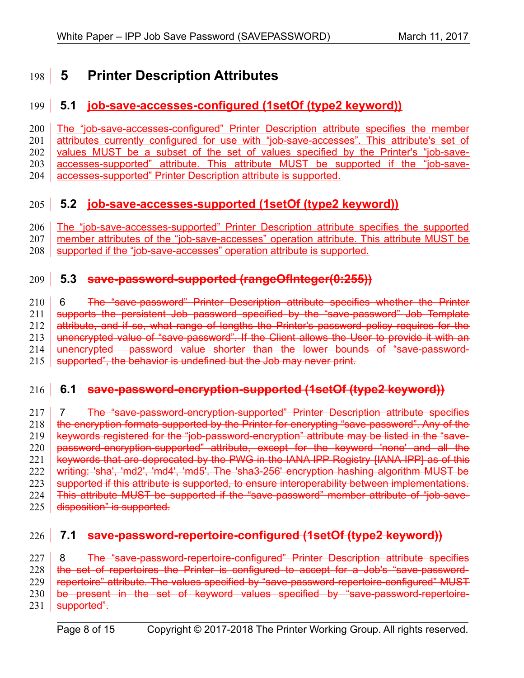## <span id="page-7-2"></span> **5 Printer Description Attributes** 198

## <span id="page-7-1"></span> **5.1 job-save-accesses-configured (1setOf (type2 keyword))** 199

The "job-save-accesses-configured" Printer Description attribute specifies the member attributes currently configured for use with "job-save-accesses". This attribute's set of values MUST be a subset of the set of values specified by the Printer's "job-saveaccesses-supported" attribute. This attribute MUST be supported if the "job-saveaccesses-supported" Printer Description attribute is supported. 200 201 202 203 204

## <span id="page-7-0"></span> **5.2 job-save-accesses-supported (1setOf (type2 keyword))**  $205$

The "job-save-accesses-supported" Printer Description attribute specifies the supported 206

member attributes of the "job-save-accesses" operation attribute. This attribute MUST be 207

supported if the "job-save-accesses" operation attribute is supported. 208

## **5.3 save-password-supported (rangeOfInteger(0:255))** 209

 6 The "save-password" Printer Description attribute specifies whether the Printer supports the persistent Job password specified by the "save-password" Job Template attribute, and if so, what range of lengths the Printer's password policy requires for the unencrypted value of "save-password". If the Client allows the User to provide it with an unencrypted password value shorter than the lower bounds of "save-passwordsupported", the behavior is undefined but the Job may never print. 210 211 212 213 214 215

## **6.1 save-password-encryption-supported (1setOf (type2 keyword))** 216

 7 The "save-password-encryption-supported" Printer Description attribute specifies the encryption formats supported by the Printer for encrypting "save-password". Any of the keywords registered for the "job-password-encryption" attribute may be listed in the "savepassword-encryption-supported" attribute, except for the keyword 'none' and all the keywords that are deprecated by the PWG in the IANA IPP Registry [\[IANA-IPP\]](#page-12-1) as of this writing: 'sha', 'md2', 'md4', 'md5'. The 'sha3-256' encryption hashing algorithm MUST be supported if this attribute is supported, to ensure interoperability between implementations. This attribute MUST be supported if the "save-password" member attribute of "job-savedisposition" is supported. 217 218 219 220 221 222 223 224 225

## **7.1 save-password-repertoire-configured (1setOf (type2 keyword))** 226

8 The "save-password-repertoire-configured" Printer Description attribute specifies the set of repertoires the Printer is configured to accept for a Job's "save-passwordrepertoire" attribute. The values specified by "save-password-repertoire-configured" MUST be present in the set of keyword values specified by "save-password-repertoiresupported". 227 228 229 230 231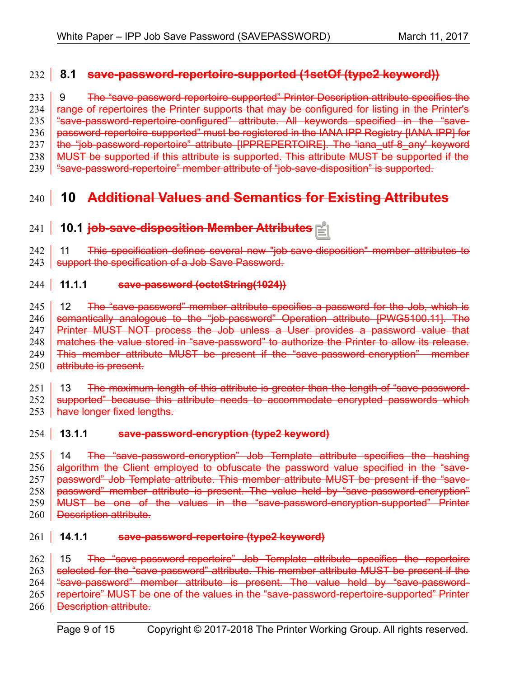## **8.1 save-password-repertoire-supported (1setOf (type2 keyword))** 232

9 The "save-password-repertoire-supported" Printer Description attribute specifies the range of repertoires the Printer supports that may be configured for listing in the Printer's "save-password-repertoire-configured" attribute. All keywords specified in the "savepassword-repertoire-supported" must be registered in the IANA IPP Registry [\[IANA-IPP\]](#page-12-1) for the "job-password-repertoire" attribute [\[IPPREPERTOIRE\].](#page-10-4) The 'iana\_utf-8\_any' keyword MUST be supported if this attribute is supported. This attribute MUST be supported if the "save-password-repertoire" member attribute of "job-save-disposition" is supported. 233 234 235 236 237 238 239

## **10 Additional Values and Semantics for Existing Attributes**  $240$

### **10.1 job-save-disposition Member Attributes**  $241$

 11 This specification defines several new "job-save-disposition" member attributes to support the specification of a Job Save Password. 242 243

#### **11.1.1 save-password (octetString(1024))**  $244$

12 The "save-password" member attribute specifies a password for the Job, which is semantically analogous to the "job-password" Operation attribute [\[PWG5100.11\].](#page-11-0) The Printer MUST NOT process the Job unless a User provides a password value that matches the value stored in "save-password" to authorize the Printer to allow its release. This member attribute MUST be present if the "save-password-encryption" member attribute is present. 245 246 247 248 249 250

 13 The maximum length of this attribute is greater than the length of "save-passwordsupported" because this attribute needs to accommodate encrypted passwords which 251 252

have longer fixed lengths. 253

### **13.1.1 save-password-encryption (type2 keyword)**  $254$

 14 The "save-password-encryption" Job Template attribute specifies the hashing algorithm the Client employed to obfuscate the password value specified in the "savepassword" Job Template attribute. This member attribute MUST be present if the "savepassword" member attribute is present. The value held by "save-password-encryption" MUST be one of the values in the "save-password-encryption-supported" Printer Description attribute. 255 256 257 258 259 260

### save-password-repertoire (type2 keyword)  $261$  14.1.1

 15 The "save-password-repertoire" Job Template attribute specifies the repertoire selected for the "save-password" attribute. This member attribute MUST be present if the "save-password" member attribute is present. The value held by "save-passwordrepertoire" MUST be one of the values in the "save-password-repertoire-supported" Printer Description attribute. 262 263 264 265 266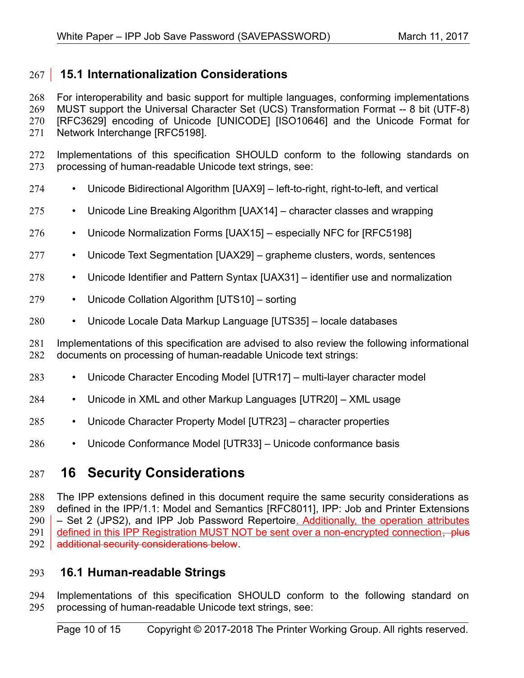## <span id="page-9-2"></span> **15.1 Internationalization Considerations** 267

For interoperability and basic support for multiple languages, conforming implementations MUST support the Universal Character Set (UCS) Transformation Format -- 8 bit (UTF-8) [RFC3629] encoding of Unicode [\[UNICODE\]](#page-12-11) [\[ISO10646\]](#page-11-3) and the Unicode Format for Network Interchange [\[RFC5198\].](#page-11-2) 268 269 270 271

- Implementations of this specification SHOULD conform to the following standards on processing of human-readable Unicode text strings, see: 272 273
- Unicode Bidirectional Algorithm [\[UAX9\]](#page-12-10)  left-to-right, right-to-left, and vertical 274
- Unicode Line Breaking Algorithm [\[UAX14\]](#page-12-9)  character classes and wrapping 275
- Unicode Normalization Forms [\[UAX15\]](#page-12-8)  especially NFC for [\[RFC5198\]](#page-11-2) 276
- Unicode Text Segmentation [\[UAX29\]](#page-12-7)  grapheme clusters, words, sentences 277
- Unicode Identifier and Pattern Syntax [\[UAX31\]](#page-12-6)  identifier use and normalization 278
- Unicode Collation Algorithm [\[UTS10\]](#page-12-5)  sorting 279
- Unicode Locale Data Markup Language [\[UTS35\]](#page-12-4)  locale databases 280

Implementations of this specification are advised to also review the following informational documents on processing of human-readable Unicode text strings: 281 282

- Unicode Character Encoding Model [\[UTR17\]](#page-12-3)  multi-layer character model 283
- Unicode in XML and other Markup Languages [\[UTR20\]](#page-13-3)  XML usage 284
- Unicode Character Property Model [\[UTR23\]](#page-13-2)  character properties 285
- Unicode Conformance Model [\[UTR33\]](#page-13-1)  Unicode conformance basis 286

## <span id="page-9-1"></span> **16 Security Considerations** 287

The IPP extensions defined in this document require the same security considerations as defined in the IPP/1.1: Model and Semantics [\[RFC8011\],](#page-12-2) IPP: Job and Printer Extensions – Set 2 (JPS2), and IPP Job Password Repertoire. Additionally, the operation attributes defined in this IPP Registration MUST NOT be sent over a non-encrypted connection, plus additional security considerations below. 288 289 290 291 292

### <span id="page-9-0"></span> **16.1 Human-readable Strings**  293

Implementations of this specification SHOULD conform to the following standard on processing of human-readable Unicode text strings, see: 294 295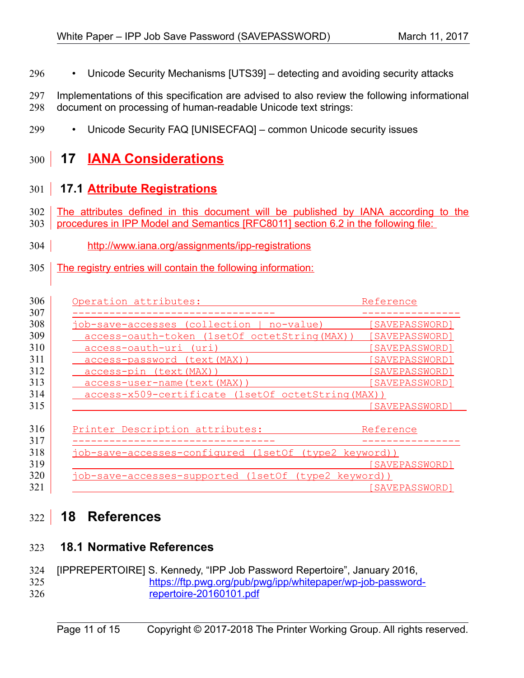- Unicode Security Mechanisms [\[UTS39\]](#page-12-13)  detecting and avoiding security attacks 296
- Implementations of this specification are advised to also review the following informational document on processing of human-readable Unicode text strings: 297 298
- Unicode Security FAQ [\[UNISECFAQ\]](#page-12-12)  common Unicode security issues 299

## <span id="page-10-3"></span> **17 IANA Considerations** 300

## <span id="page-10-2"></span> **17.1 Attribute Registrations** 301

- The attributes defined in this document will be published by IANA according to the 302
- procedures in IPP Model and Semantics [\[RFC8011\]](#page-12-2) section 6.2 in the following file: 303
- <http://www.iana.org/assignments/ipp-registrations>  $304$
- The registry entries will contain the following information: 305

| Operation attributes:                                 | Reference      |
|-------------------------------------------------------|----------------|
|                                                       |                |
| job-save-accesses (collection   no-value)             | [SAVEPASSWORD] |
| access-oauth-token (1setOf octetString (MAX))         | [SAVEPASSWORD] |
| access-oauth-uri (uri)                                | [SAVEPASSWORD] |
| <u>access-password (text(MAX))</u>                    | [SAVEPASSWORD] |
| access-pin (text (MAX))                               | [SAVEPASSWORD] |
| <u>access-user-name(text(MAX)</u>                     | [SAVEPASSWORD] |
| access-x509-certificate (1setOf octetString (MAX))    |                |
|                                                       | [SAVEPASSWORD] |
|                                                       |                |
| Printer Description attributes:                       | Reference      |
|                                                       |                |
| job-save-accesses-configured (1setOf (type2 keyword)) |                |
|                                                       | [SAVEPASSWORD] |
| job-save-accesses-supported (1setOf (type2 keyword))  |                |
|                                                       | [SAVEPASSWORD] |

## <span id="page-10-1"></span> **18 References** 322

## <span id="page-10-0"></span> **18.1 Normative References** 323

<span id="page-10-4"></span>[IPPREPERTOIRE] S. Kennedy, "IPP Job Password Repertoire", January 2016, [https://ftp.pwg.org/pub/pwg/ipp/whitepaper/wp-job-password](https://ftp.pwg.org/pub/pwg/ipp/whitepaper/wp-job-password-repertoire-20160101.pdf)[repertoire-20160101.pdf](https://ftp.pwg.org/pub/pwg/ipp/whitepaper/wp-job-password-repertoire-20160101.pdf) 324 325 326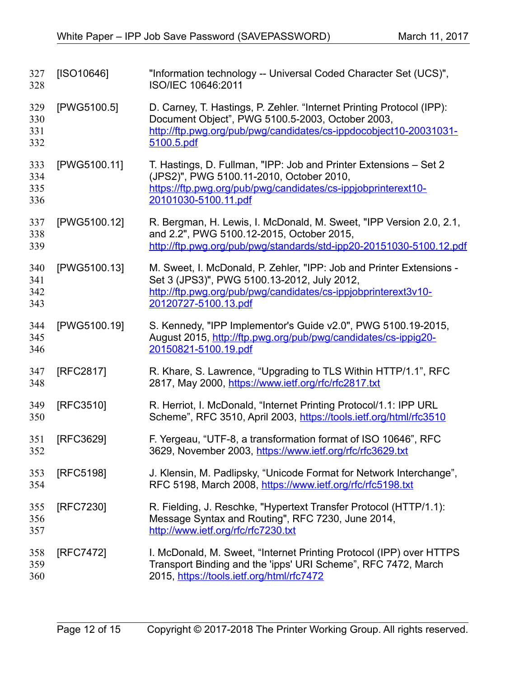<span id="page-11-3"></span><span id="page-11-2"></span><span id="page-11-1"></span><span id="page-11-0"></span>

| 327<br>328               | [ISO10646]   | "Information technology -- Universal Coded Character Set (UCS)",<br>ISO/IEC 10646:2011                                                                                                                        |
|--------------------------|--------------|---------------------------------------------------------------------------------------------------------------------------------------------------------------------------------------------------------------|
| 329<br>330<br>331<br>332 | [PWG5100.5]  | D. Carney, T. Hastings, P. Zehler. "Internet Printing Protocol (IPP):<br>Document Object", PWG 5100.5-2003, October 2003,<br>http://ftp.pwg.org/pub/pwg/candidates/cs-ippdocobject10-20031031-<br>5100.5.pdf  |
| 333<br>334<br>335<br>336 | [PWG5100.11] | T. Hastings, D. Fullman, "IPP: Job and Printer Extensions - Set 2<br>(JPS2)", PWG 5100.11-2010, October 2010,<br>https://ftp.pwg.org/pub/pwg/candidates/cs-ippjobprinterext10-<br>20101030-5100.11.pdf        |
| 337<br>338<br>339        | [PWG5100.12] | R. Bergman, H. Lewis, I. McDonald, M. Sweet, "IPP Version 2.0, 2.1,<br>and 2.2", PWG 5100.12-2015, October 2015,<br>http://ftp.pwg.org/pub/pwg/standards/std-ipp20-20151030-5100.12.pdf                       |
| 340<br>341<br>342<br>343 | [PWG5100.13] | M. Sweet, I. McDonald, P. Zehler, "IPP: Job and Printer Extensions -<br>Set 3 (JPS3)", PWG 5100.13-2012, July 2012,<br>http://ftp.pwg.org/pub/pwg/candidates/cs-ippjobprinterext3v10-<br>20120727-5100.13.pdf |
| 344<br>345<br>346        | [PWG5100.19] | S. Kennedy, "IPP Implementor's Guide v2.0", PWG 5100.19-2015,<br>August 2015, http://ftp.pwg.org/pub/pwg/candidates/cs-ippig20-<br>20150821-5100.19.pdf                                                       |
| 347<br>348               | [RFC2817]    | R. Khare, S. Lawrence, "Upgrading to TLS Within HTTP/1.1", RFC<br>2817, May 2000, https://www.ietf.org/rfc/rfc2817.txt                                                                                        |
| 349<br>350               | [RFC3510]    | R. Herriot, I. McDonald, "Internet Printing Protocol/1.1: IPP URL<br>Scheme", RFC 3510, April 2003, https://tools.ietf.org/html/rfc3510                                                                       |
| 351<br>352               | [RFC3629]    | F. Yergeau, "UTF-8, a transformation format of ISO 10646", RFC<br>3629, November 2003, https://www.ietf.org/rfc/rfc3629.txt                                                                                   |
| 353<br>354               | [RFC5198]    | J. Klensin, M. Padlipsky, "Unicode Format for Network Interchange",<br>RFC 5198, March 2008, https://www.ietf.org/rfc/rfc5198.txt                                                                             |
| 355<br>356<br>357        | [RFC7230]    | R. Fielding, J. Reschke, "Hypertext Transfer Protocol (HTTP/1.1):<br>Message Syntax and Routing", RFC 7230, June 2014,<br>http://www.ietf.org/rfc/rfc7230.txt                                                 |
| 358<br>359<br>360        | [RFC7472]    | I. McDonald, M. Sweet, "Internet Printing Protocol (IPP) over HTTPS<br>Transport Binding and the 'ipps' URI Scheme", RFC 7472, March<br>2015, https://tools.ietf.org/html/rfc7472                             |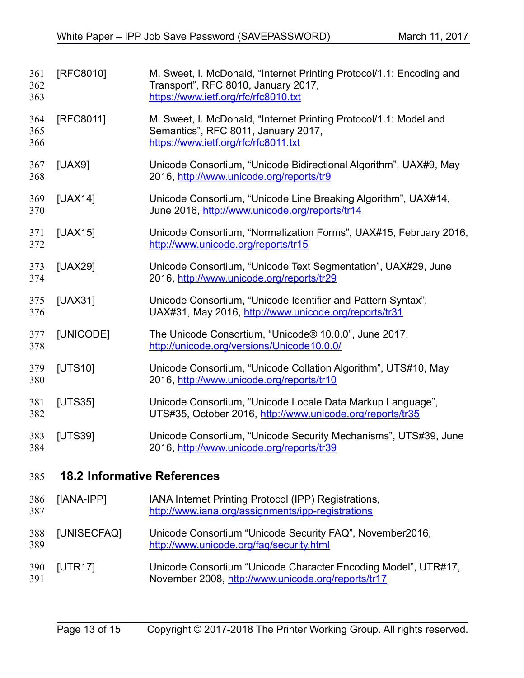<span id="page-12-13"></span><span id="page-12-12"></span><span id="page-12-11"></span><span id="page-12-10"></span><span id="page-12-9"></span><span id="page-12-8"></span><span id="page-12-7"></span><span id="page-12-6"></span><span id="page-12-5"></span><span id="page-12-4"></span><span id="page-12-3"></span><span id="page-12-2"></span><span id="page-12-1"></span><span id="page-12-0"></span>

| 361<br>362<br>363 | [RFC8010]                          | M. Sweet, I. McDonald, "Internet Printing Protocol/1.1: Encoding and<br>Transport", RFC 8010, January 2017,<br>https://www.ietf.org/rfc/rfc8010.txt |
|-------------------|------------------------------------|-----------------------------------------------------------------------------------------------------------------------------------------------------|
| 364<br>365<br>366 | [RFC8011]                          | M. Sweet, I. McDonald, "Internet Printing Protocol/1.1: Model and<br>Semantics", RFC 8011, January 2017,<br>https://www.ietf.org/rfc/rfc8011.txt    |
| 367<br>368        | [UAX9]                             | Unicode Consortium, "Unicode Bidirectional Algorithm", UAX#9, May<br>2016, http://www.unicode.org/reports/tr9                                       |
| 369<br>370        | [UAX14]                            | Unicode Consortium, "Unicode Line Breaking Algorithm", UAX#14,<br>June 2016, http://www.unicode.org/reports/tr14                                    |
| 371<br>372        | [UAX15]                            | Unicode Consortium, "Normalization Forms", UAX#15, February 2016,<br>http://www.unicode.org/reports/tr15                                            |
| 373<br>374        | [UAX29]                            | Unicode Consortium, "Unicode Text Segmentation", UAX#29, June<br>2016, http://www.unicode.org/reports/tr29                                          |
| 375<br>376        | [UAX31]                            | Unicode Consortium, "Unicode Identifier and Pattern Syntax",<br>UAX#31, May 2016, http://www.unicode.org/reports/tr31                               |
| 377<br>378        | [UNICODE]                          | The Unicode Consortium, "Unicode® 10.0.0", June 2017,<br>http://unicode.org/versions/Unicode10.0.0/                                                 |
| 379<br>380        | [UTS10]                            | Unicode Consortium, "Unicode Collation Algorithm", UTS#10, May<br>2016, http://www.unicode.org/reports/tr10                                         |
| 381<br>382        | [UTS35]                            | Unicode Consortium, "Unicode Locale Data Markup Language",<br>UTS#35, October 2016, http://www.unicode.org/reports/tr35                             |
| 383<br>384        | [UTS39]                            | Unicode Consortium, "Unicode Security Mechanisms", UTS#39, June<br>2016, http://www.unicode.org/reports/tr39                                        |
| 385               | <b>18.2 Informative References</b> |                                                                                                                                                     |
| 386<br>387        | [IANA-IPP]                         | IANA Internet Printing Protocol (IPP) Registrations,<br>http://www.iana.org/assignments/ipp-registrations                                           |
| 388<br>389        | [UNISECFAQ]                        | Unicode Consortium "Unicode Security FAQ", November2016,<br>http://www.unicode.org/fag/security.html                                                |
| 390<br>391        | [UTR17]                            | Unicode Consortium "Unicode Character Encoding Model", UTR#17,<br>November 2008, http://www.unicode.org/reports/tr17                                |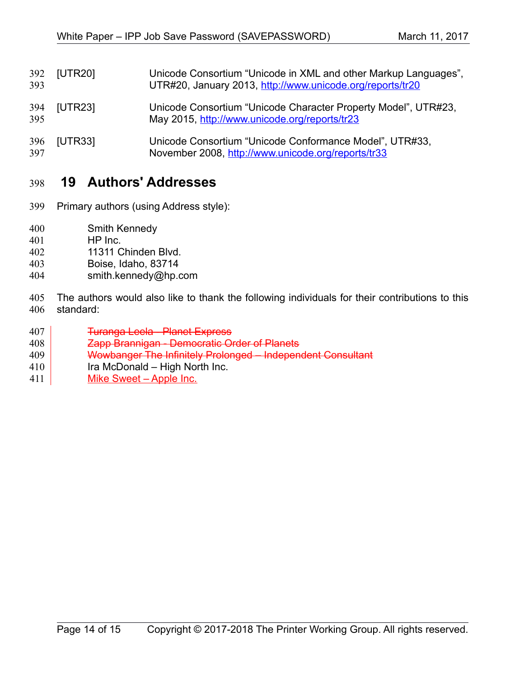<span id="page-13-3"></span><span id="page-13-2"></span>[UTR20] Unicode Consortium "Unicode in XML and other Markup Languages", UTR#20, January 2013,<http://www.unicode.org/reports/tr20> [UTR23] Unicode Consortium "Unicode Character Property Model", UTR#23, May 2015,<http://www.unicode.org/reports/tr23> [UTR33] Unicode Consortium "Unicode Conformance Model", UTR#33, November 2008,<http://www.unicode.org/reports/tr33> 392 393 394 395 396 397

## <span id="page-13-1"></span><span id="page-13-0"></span> **19 Authors' Addresses** 398

- Primary authors (using Address style): 399
- Smith Kennedy 400
- HP Inc. 401
- 11311 Chinden Blvd. 402
- Boise, Idaho, 83714 403
- smith.kennedy@hp.com 404
- The authors would also like to thank the following individuals for their contributions to this standard: 405 406
- Turanga Leela Planet Express 407
- Zapp Brannigan Democratic Order of Planets 408
- Wowbanger The Infinitely Prolonged Independent Consultant 409
- Ira McDonald High North Inc. 410
- Mike Sweet Apple Inc. 411